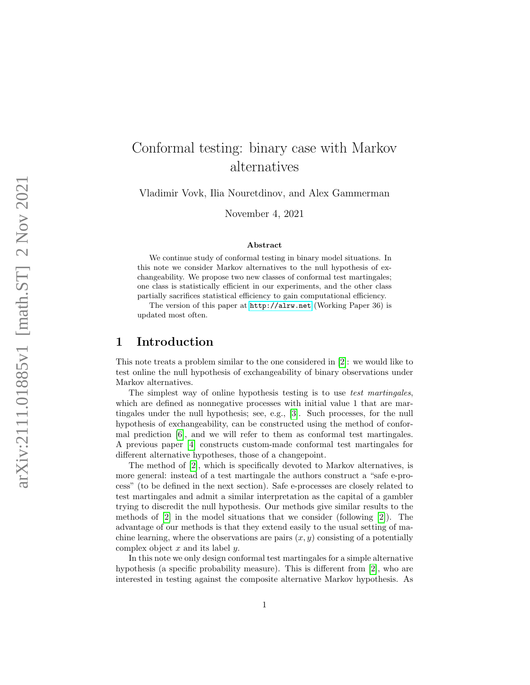# Conformal testing: binary case with Markov alternatives

Vladimir Vovk, Ilia Nouretdinov, and Alex Gammerman

November 4, 2021

#### Abstract

We continue study of conformal testing in binary model situations. In this note we consider Markov alternatives to the null hypothesis of exchangeability. We propose two new classes of conformal test martingales; one class is statistically efficient in our experiments, and the other class partially sacrifices statistical efficiency to gain computational efficiency.

The version of this paper at <http://alrw.net> (Working Paper 36) is updated most often.

#### 1 Introduction

This note treats a problem similar to the one considered in [\[2\]](#page-7-0): we would like to test online the null hypothesis of exchangeability of binary observations under Markov alternatives.

The simplest way of online hypothesis testing is to use test martingales, which are defined as nonnegative processes with initial value 1 that are martingales under the null hypothesis; see, e.g., [\[3\]](#page-7-1). Such processes, for the null hypothesis of exchangeability, can be constructed using the method of conformal prediction [\[6\]](#page-7-2), and we will refer to them as conformal test martingales. A previous paper [\[4\]](#page-7-3) constructs custom-made conformal test martingales for different alternative hypotheses, those of a changepoint.

The method of [\[2\]](#page-7-0), which is specifically devoted to Markov alternatives, is more general: instead of a test martingale the authors construct a "safe e-process" (to be defined in the next section). Safe e-processes are closely related to test martingales and admit a similar interpretation as the capital of a gambler trying to discredit the null hypothesis. Our methods give similar results to the methods of [\[2\]](#page-7-0) in the model situations that we consider (following [\[2\]](#page-7-0)). The advantage of our methods is that they extend easily to the usual setting of machine learning, where the observations are pairs  $(x, y)$  consisting of a potentially complex object  $x$  and its label  $y$ .

In this note we only design conformal test martingales for a simple alternative hypothesis (a specific probability measure). This is different from [\[2\]](#page-7-0), who are interested in testing against the composite alternative Markov hypothesis. As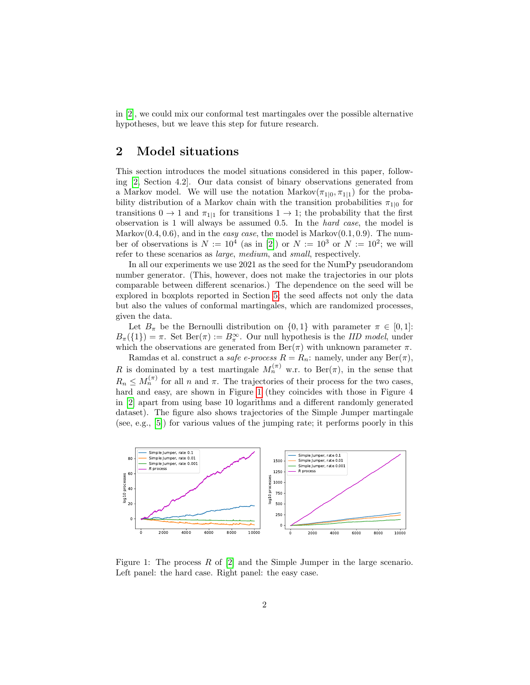in [\[2\]](#page-7-0), we could mix our conformal test martingales over the possible alternative hypotheses, but we leave this step for future research.

### 2 Model situations

This section introduces the model situations considered in this paper, following [\[2,](#page-7-0) Section 4.2]. Our data consist of binary observations generated from a Markov model. We will use the notation  $\text{Markov}(\pi_{1|0}, \pi_{1|1})$  for the probability distribution of a Markov chain with the transition probabilities  $\pi_{1|0}$  for transitions  $0 \to 1$  and  $\pi_{1|1}$  for transitions  $1 \to 1$ ; the probability that the first observation is 1 will always be assumed 0.5. In the hard case, the model is Markov $(0.4, 0.6)$ , and in the *easy case*, the model is Markov $(0.1, 0.9)$ . The number of observations is  $N := 10^4$  (as in [\[2\]](#page-7-0)) or  $N := 10^3$  or  $N := 10^2$ ; we will refer to these scenarios as large, medium, and small, respectively.

In all our experiments we use 2021 as the seed for the NumPy pseudorandom number generator. (This, however, does not make the trajectories in our plots comparable between different scenarios.) The dependence on the seed will be explored in boxplots reported in Section [5;](#page-5-0) the seed affects not only the data but also the values of conformal martingales, which are randomized processes, given the data.

Let  $B_{\pi}$  be the Bernoulli distribution on  $\{0,1\}$  with parameter  $\pi \in [0,1]$ :  $B_{\pi}(\{1\}) = \pi$ . Set  $\text{Ber}(\pi) := B_{\pi}^{\infty}$ . Our null hypothesis is the *IID model*, under which the observations are generated from  $\text{Ber}(\pi)$  with unknown parameter  $\pi$ .

Ramdas et al. construct a safe e-process  $R = R_n$ : namely, under any  $\text{Ber}(\pi)$ , R is dominated by a test martingale  $M_n^{(\pi)}$  w.r. to Ber( $\pi$ ), in the sense that  $R_n \leq M_n^{(\pi)}$  for all n and  $\pi$ . The trajectories of their process for the two cases, hard and easy, are shown in Figure [1](#page-1-0) (they coincides with those in Figure 4 in [\[2\]](#page-7-0) apart from using base 10 logarithms and a different randomly generated dataset). The figure also shows trajectories of the Simple Jumper martingale (see, e.g., [\[5\]](#page-7-4)) for various values of the jumping rate; it performs poorly in this



<span id="page-1-0"></span>Figure 1: The process  $R$  of  $[2]$  and the Simple Jumper in the large scenario. Left panel: the hard case. Right panel: the easy case.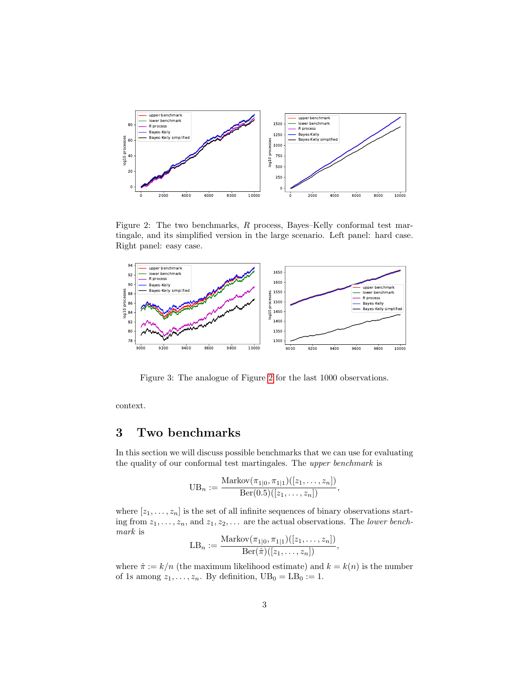

<span id="page-2-0"></span>Figure 2: The two benchmarks, R process, Bayes–Kelly conformal test martingale, and its simplified version in the large scenario. Left panel: hard case. Right panel: easy case.



<span id="page-2-1"></span>Figure 3: The analogue of Figure [2](#page-2-0) for the last 1000 observations.

context.

## 3 Two benchmarks

In this section we will discuss possible benchmarks that we can use for evaluating the quality of our conformal test martingales. The upper benchmark is

$$
UB_n := \frac{\text{Markov}(\pi_{1|0}, \pi_{1|1})([z_1, \ldots, z_n])}{\text{Ber}(0.5)([z_1, \ldots, z_n])},
$$

where  $[z_1, \ldots, z_n]$  is the set of all infinite sequences of binary observations starting from  $z_1, \ldots, z_n$ , and  $z_1, z_2, \ldots$  are the actual observations. The lower benchmark is

$$
LB_n := \frac{\text{Markov}(\pi_{1|0}, \pi_{1|1})([z_1, \ldots, z_n])}{\text{Ber}(\hat{\pi})([z_1, \ldots, z_n])},
$$

where  $\hat{\pi} := k/n$  (the maximum likelihood estimate) and  $k = k(n)$  is the number of 1s among  $z_1, \ldots, z_n$ . By definition,  $UB_0 = LB_0 := 1$ .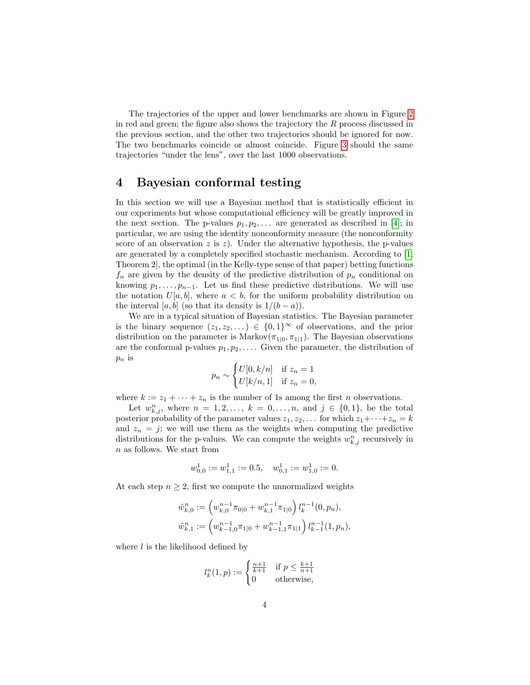The trajectories of the upper and lower benchmarks are shown in Figure [2](#page-2-0) in red and green; the figure also shows the trajectory the R process discussed in the previous section, and the other two trajectories should be ignored for now. The two benchmarks coincide or almost coincide. Figure [3](#page-2-1) should the same trajectories "under the lens", over the last 1000 observations.

#### 4 Bayesian conformal testing

In this section we will use a Bayesian method that is statistically efficient in our experiments but whose computational efficiency will be greatly improved in the next section. The p-values  $p_1, p_2, \ldots$  are generated as described in [\[4\]](#page-7-3); in particular, we are using the identity nonconformity measure (the nonconformity score of an observation z is z). Under the alternative hypothesis, the p-values are generated by a completely specified stochastic mechanism. According to [\[1,](#page-7-5) Theorem 2], the optimal (in the Kelly-type sense of that paper) betting functions  $f_n$  are given by the density of the predictive distribution of  $p_n$  conditional on knowing  $p_1, \ldots, p_{n-1}$ . Let us find these predictive distributions. We will use the notation  $U[a, b]$ , where  $a < b$ , for the uniform probability distribution on the interval [a, b] (so that its density is  $1/(b - a)$ ).

We are in a typical situation of Bayesian statistics. The Bayesian parameter is the binary sequence  $(z_1, z_2, \dots) \in \{0,1\}^{\infty}$  of observations, and the prior distribution on the parameter is Markov $(\pi_{1|0}, \pi_{1|1})$ . The Bayesian observations are the conformal p-values  $p_1, p_2, \ldots$ . Given the parameter, the distribution of  $p_n$  is

$$
p_n \sim \begin{cases} U[0, k/n] & \text{if } z_n = 1 \\ U[k/n, 1] & \text{if } z_n = 0, \end{cases}
$$

where  $k := z_1 + \cdots + z_n$  is the number of 1s among the first *n* observations.

Let  $w_{k,j}^n$ , where  $n = 1, 2, ..., k = 0, ..., n$ , and  $j \in \{0, 1\}$ , be the total posterior probability of the parameter values  $z_1, z_2, \ldots$  for which  $z_1 + \cdots + z_n = k$ and  $z_n = j$ ; we will use them as the weights when computing the predictive distributions for the p-values. We can compute the weights  $w_{k,j}^n$  recursively in n as follows. We start from

$$
w_{0,0}^1 := w_{1,1}^1 := 0.5, \quad w_{0,1}^1 := w_{1,0}^1 := 0.
$$

At each step  $n \geq 2$ , first we compute the unnormalized weights

$$
\tilde{w}_{k,0}^n := \left(w_{k,0}^{n-1}\pi_{0|0} + w_{k,1}^{n-1}\pi_{1|0}\right)l_k^{n-1}(0, p_n),
$$
  

$$
\tilde{w}_{k,1}^n := \left(w_{k-1,0}^{n-1}\pi_{1|0} + w_{k-1,1}^{n-1}\pi_{1|1}\right)l_{k-1}^{n-1}(1, p_n),
$$

where  $l$  is the likelihood defined by

$$
l_k^n(1,p) := \begin{cases} \frac{n+1}{k+1} & \text{if } p \le \frac{k+1}{n+1} \\ 0 & \text{otherwise,} \end{cases}
$$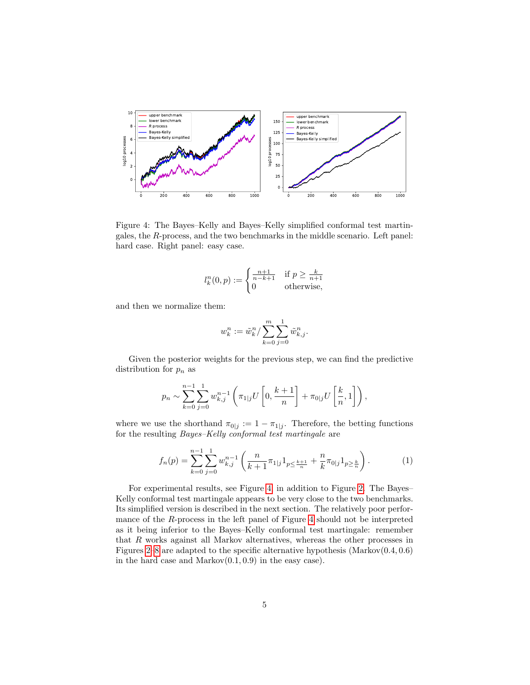

<span id="page-4-0"></span>Figure 4: The Bayes–Kelly and Bayes–Kelly simplified conformal test martingales, the R-process, and the two benchmarks in the middle scenario. Left panel: hard case. Right panel: easy case.

$$
l_k^n(0, p) := \begin{cases} \frac{n+1}{n-k+1} & \text{if } p \ge \frac{k}{n+1} \\ 0 & \text{otherwise,} \end{cases}
$$

and then we normalize them:

$$
w_k^n := \tilde{w}_k^n / \sum_{k=0}^m \sum_{j=0}^1 \tilde{w}_{k,j}^n.
$$

Given the posterior weights for the previous step, we can find the predictive distribution for  $p_n$  as

$$
p_n \sim \sum_{k=0}^{n-1} \sum_{j=0}^1 w_{k,j}^{n-1} \left( \pi_{1|j} U\left[0, \frac{k+1}{n}\right] + \pi_{0|j} U\left[\frac{k}{n}, 1\right] \right),
$$

where we use the shorthand  $\pi_{0|j} := 1 - \pi_{1|j}$ . Therefore, the betting functions for the resulting Bayes–Kelly conformal test martingale are

<span id="page-4-1"></span>
$$
f_n(p) = \sum_{k=0}^{n-1} \sum_{j=0}^1 w_{k,j}^{n-1} \left( \frac{n}{k+1} \pi_{1,j} 1_{p \le \frac{k+1}{n}} + \frac{n}{k} \pi_{0,j} 1_{p \ge \frac{k}{n}} \right).
$$
 (1)

For experimental results, see Figure [4,](#page-4-0) in addition to Figure [2.](#page-2-0) The Bayes– Kelly conformal test martingale appears to be very close to the two benchmarks. Its simplified version is described in the next section. The relatively poor performance of the R-process in the left panel of Figure [4](#page-4-0) should not be interpreted as it being inferior to the Bayes–Kelly conformal test martingale: remember that R works against all Markov alternatives, whereas the other processes in Figures [2–](#page-2-0)[8](#page-6-0) are adapted to the specific alternative hypothesis (Markov $(0.4, 0.6)$ ) in the hard case and  $Markov(0.1, 0.9)$  in the easy case).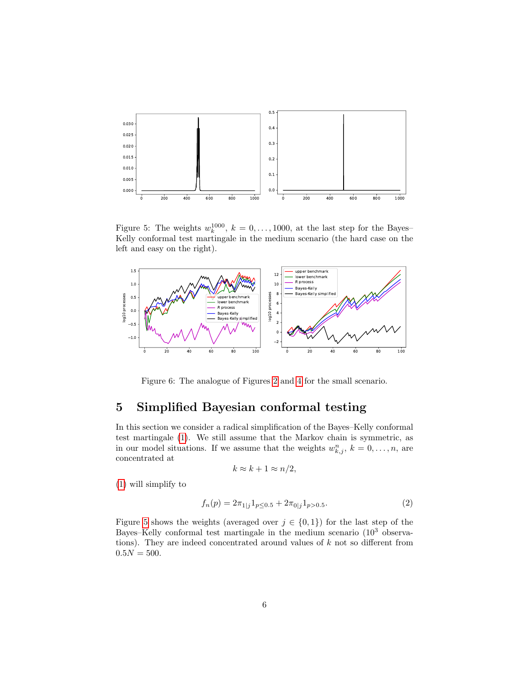

<span id="page-5-1"></span>Figure 5: The weights  $w_k^{1000}$ ,  $k = 0, \ldots, 1000$ , at the last step for the Bayes-Kelly conformal test martingale in the medium scenario (the hard case on the left and easy on the right).



<span id="page-5-3"></span>Figure 6: The analogue of Figures [2](#page-2-0) and [4](#page-4-0) for the small scenario.

# <span id="page-5-0"></span>5 Simplified Bayesian conformal testing

In this section we consider a radical simplification of the Bayes–Kelly conformal test martingale [\(1\)](#page-4-1). We still assume that the Markov chain is symmetric, as in our model situations. If we assume that the weights  $w_{k,j}^n$ ,  $k = 0, \ldots, n$ , are concentrated at

$$
k \approx k + 1 \approx n/2,
$$

[\(1\)](#page-4-1) will simplify to

<span id="page-5-2"></span>
$$
f_n(p) = 2\pi_{1|j} 1_{p \le 0.5} + 2\pi_{0|j} 1_{p > 0.5}.
$$
 (2)

Figure [5](#page-5-1) shows the weights (averaged over  $j \in \{0,1\}$ ) for the last step of the Bayes–Kelly conformal test martingale in the medium scenario (10<sup>3</sup> observations). They are indeed concentrated around values of  $k$  not so different from  $0.5N = 500.$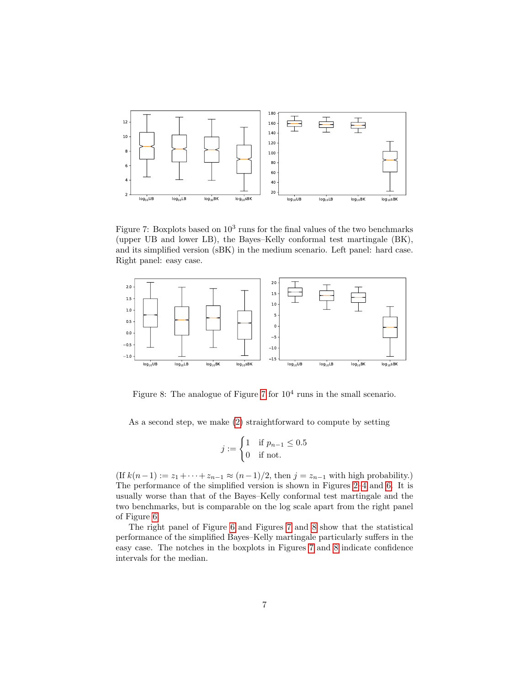

<span id="page-6-1"></span>Figure 7: Boxplots based on  $10^3$  runs for the final values of the two benchmarks (upper UB and lower LB), the Bayes–Kelly conformal test martingale (BK), and its simplified version (sBK) in the medium scenario. Left panel: hard case. Right panel: easy case.



<span id="page-6-0"></span>Figure 8: The analogue of Figure [7](#page-6-1) for  $10<sup>4</sup>$  runs in the small scenario.

As a second step, we make [\(2\)](#page-5-2) straightforward to compute by setting

$$
j := \begin{cases} 1 & \text{if } p_{n-1} \le 0.5 \\ 0 & \text{if not.} \end{cases}
$$

(If  $k(n-1) := z_1 + \cdots + z_{n-1} \approx (n-1)/2$ , then  $j = z_{n-1}$  with high probability.) The performance of the simplified version is shown in Figures [2–](#page-2-0)[4](#page-4-0) and [6.](#page-5-3) It is usually worse than that of the Bayes–Kelly conformal test martingale and the two benchmarks, but is comparable on the log scale apart from the right panel of Figure [6.](#page-5-3)

The right panel of Figure [6](#page-5-3) and Figures [7](#page-6-1) and [8](#page-6-0) show that the statistical performance of the simplified Bayes–Kelly martingale particularly suffers in the easy case. The notches in the boxplots in Figures [7](#page-6-1) and [8](#page-6-0) indicate confidence intervals for the median.